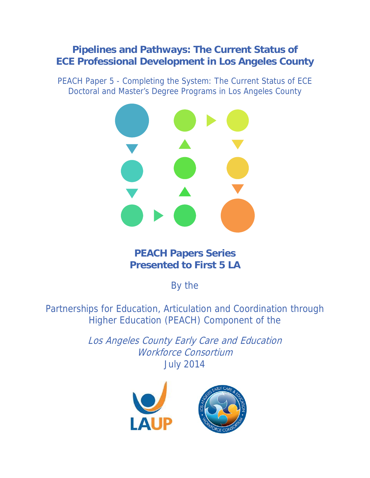# **Pipelines and Pathways: The Current Status of ECE Professional Development in Los Angeles County**

PEACH Paper 5 - Completing the System: The Current Status of ECE Doctoral and Master's Degree Programs in Los Angeles County



# **PEACH Papers Series Presented to First 5 LA**

By the

Partnerships for Education, Articulation and Coordination through Higher Education (PEACH) Component of the

> Los Angeles County Early Care and Education Workforce Consortium July 2014

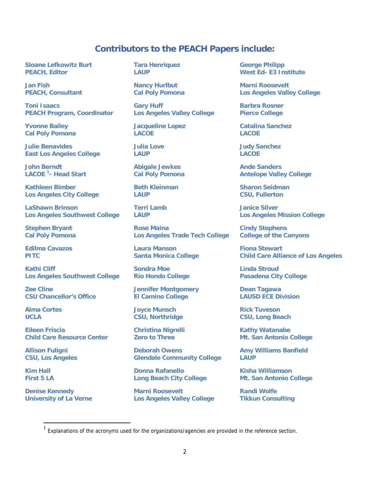# **Contributors to the PEACH Papers include:**

**Sloane Lefkowitz Burt PEACH, Editor** 

**Jan Fish PEACH, Consultant** 

**Toni Isaacs PEACH Program, Coordinator** 

**Yvonne Bailey Cal Poly Pomona** 

**Julie Benavides East Los Angeles College** 

**John Berndt LACOE 1 - Head Start** 

**Kathleen Bimber Los Angeles City College** 

**LaShawn Brinson Los Angeles Southwest College** 

**Stephen Bryant Cal Poly Pomona** 

**Edilma Cavazos PITC** 

**Kathi Cliff Los Angeles Southwest College** 

**Zee Cline CSU Chancellor's Office** 

**Alma Cortes UCLA** 

**Eileen Friscia Child Care Resource Center** 

**Allison Fuligni CSU, Los Angeles** 

**Kim Hall First 5 LA** 

 $\overline{a}$ 

**Denise Kennedy University of La Verne**  **Tara Henriquez LAUP** 

**Nancy Hurlbut Cal Poly Pomona** 

**Gary Huff Los Angeles Valley College** 

**Jacqueline Lopez LACOE** 

**Julia Love LAUP** 

**Abigale Jewkes Cal Poly Pomona** 

**Beth Kleinman LAUP** 

**Terri Lamb LAUP** 

**Rose Maina Los Angeles Trade Tech College** 

**Laura Manson Santa Monica College** 

**Sondra Moe Rio Hondo College** 

**Jennifer Montgomery El Camino College** 

**Joyce Munsch CSU, Northridge** 

**Christina Nigrelli Zero to Three** 

**Deborah Owens Glendale Community College** 

**Donna Rafanello Long Beach City College** 

**Marni Roosevelt Los Angeles Valley College** 

**George Philipp West Ed- E3 Institute** 

**Marni Roosevelt Los Angeles Valley College** 

**Barbra Rosner Pierce College** 

**Catalina Sanchez LACOE** 

**Judy Sanchez LACOE** 

**Ande Sanders Antelope Valley College** 

**Sharon Seidman CSU, Fullerton** 

**Janice Silver Los Angeles Mission College** 

**Cindy Stephens College of the Canyons** 

**Fiona Stewart Child Care Alliance of Los Angeles** 

**Linda Stroud Pasadena City College** 

**Dean Tagawa LAUSD ECE Division** 

**Rick Tuveson CSU, Long Beach** 

**Kathy Watanabe Mt. San Antonio College** 

**Amy Williams Banfield LAUP** 

**Kisha Williamson Mt. San Antonio College** 

**Randi Wolfe Tikkun Consulting** 

Explanations of the acronyms used for the organizations/agencies are provided in the reference section.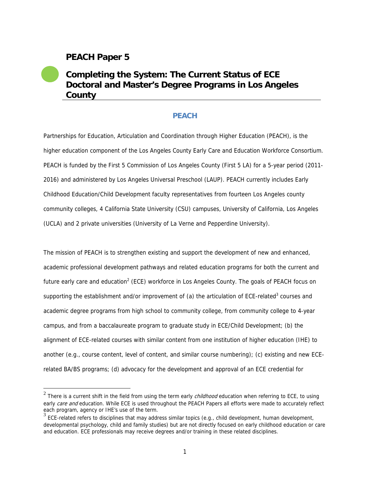# **PEACH Paper 5**

 $\overline{a}$ 

# **Completing the System: The Current Status of ECE Doctoral and Master's Degree Programs in Los Angeles County**

# **PEACH**

Partnerships for Education, Articulation and Coordination through Higher Education (PEACH), is the higher education component of the Los Angeles County Early Care and Education Workforce Consortium. PEACH is funded by the First 5 Commission of Los Angeles County (First 5 LA) for a 5-year period (2011- 2016) and administered by Los Angeles Universal Preschool (LAUP). PEACH currently includes Early Childhood Education/Child Development faculty representatives from fourteen Los Angeles county community colleges, 4 California State University (CSU) campuses, University of California, Los Angeles (UCLA) and 2 private universities (University of La Verne and Pepperdine University).

The mission of PEACH is to strengthen existing and support the development of new and enhanced, academic professional development pathways and related education programs for both the current and future early care and education<sup>2</sup> (ECE) workforce in Los Angeles County. The goals of PEACH focus on supporting the establishment and/or improvement of (a) the articulation of ECE-related<sup>3</sup> courses and academic degree programs from high school to community college, from community college to 4-year campus, and from a baccalaureate program to graduate study in ECE/Child Development; (b) the alignment of ECE-related courses with similar content from one institution of higher education (IHE) to another (e.g., course content, level of content, and similar course numbering); (c) existing and new ECErelated BA/BS programs; (d) advocacy for the development and approval of an ECE credential for

 $2$  There is a current shift in the field from using the term early *childhood* education when referring to ECE, to using early care and education. While ECE is used throughout the PEACH Papers all efforts were made to accurately reflect each program, agency or IHE's use of the term.

 $3$  ECE-related refers to disciplines that may address similar topics (e.g., child development, human development, developmental psychology, child and family studies) but are not directly focused on early childhood education or care and education. ECE professionals may receive degrees and/or training in these related disciplines.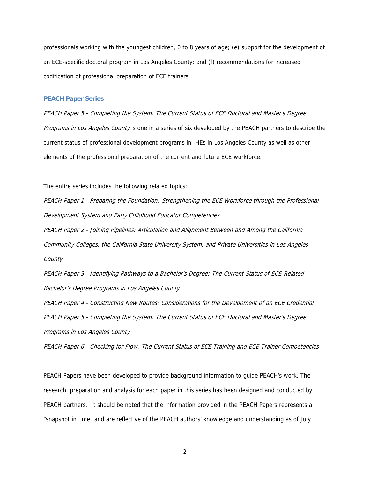professionals working with the youngest children, 0 to 8 years of age; (e) support for the development of an ECE-specific doctoral program in Los Angeles County; and (f) recommendations for increased codification of professional preparation of ECE trainers.

#### **PEACH Paper Series**

PEACH Paper 5 - Completing the System: The Current Status of ECE Doctoral and Master's Degree Programs in Los Angeles County is one in a series of six developed by the PEACH partners to describe the current status of professional development programs in IHEs in Los Angeles County as well as other elements of the professional preparation of the current and future ECE workforce.

The entire series includes the following related topics:

PEACH Paper 1 - Preparing the Foundation: Strengthening the ECE Workforce through the Professional Development System and Early Childhood Educator Competencies

PEACH Paper 2 - Joining Pipelines: Articulation and Alignment Between and Among the California Community Colleges, the California State University System, and Private Universities in Los Angeles **County** 

PEACH Paper 3 - Identifying Pathways to a Bachelor's Degree: The Current Status of ECE-Related Bachelor's Degree Programs in Los Angeles County

PEACH Paper 4 - Constructing New Routes: Considerations for the Development of an ECE Credential PEACH Paper 5 - Completing the System: The Current Status of ECE Doctoral and Master's Degree Programs in Los Angeles County

PEACH Paper 6 - Checking for Flow: The Current Status of ECE Training and ECE Trainer Competencies

PEACH Papers have been developed to provide background information to guide PEACH's work. The research, preparation and analysis for each paper in this series has been designed and conducted by PEACH partners. It should be noted that the information provided in the PEACH Papers represents a "snapshot in time" and are reflective of the PEACH authors' knowledge and understanding as of July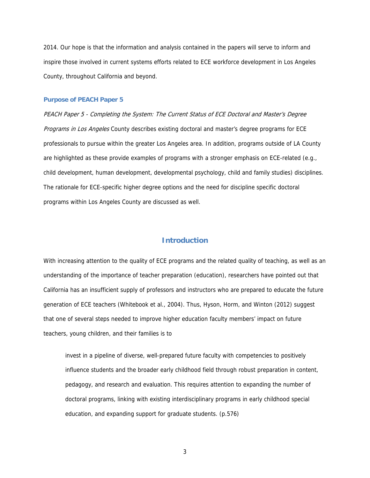2014. Our hope is that the information and analysis contained in the papers will serve to inform and inspire those involved in current systems efforts related to ECE workforce development in Los Angeles County, throughout California and beyond.

#### **Purpose of PEACH Paper 5**

PEACH Paper 5 - Completing the System: The Current Status of ECE Doctoral and Master's Degree Programs in Los Angeles County describes existing doctoral and master's degree programs for ECE professionals to pursue within the greater Los Angeles area. In addition, programs outside of LA County are highlighted as these provide examples of programs with a stronger emphasis on ECE-related (e.g., child development, human development, developmental psychology, child and family studies) disciplines. The rationale for ECE-specific higher degree options and the need for discipline specific doctoral programs within Los Angeles County are discussed as well.

# **Introduction**

With increasing attention to the quality of ECE programs and the related quality of teaching, as well as an understanding of the importance of teacher preparation (education), researchers have pointed out that California has an insufficient supply of professors and instructors who are prepared to educate the future generation of ECE teachers (Whitebook et al., 2004). Thus, Hyson, Horm, and Winton (2012) suggest that one of several steps needed to improve higher education faculty members' impact on future teachers, young children, and their families is to

invest in a pipeline of diverse, well-prepared future faculty with competencies to positively influence students and the broader early childhood field through robust preparation in content, pedagogy, and research and evaluation. This requires attention to expanding the number of doctoral programs, linking with existing interdisciplinary programs in early childhood special education, and expanding support for graduate students. (p.576)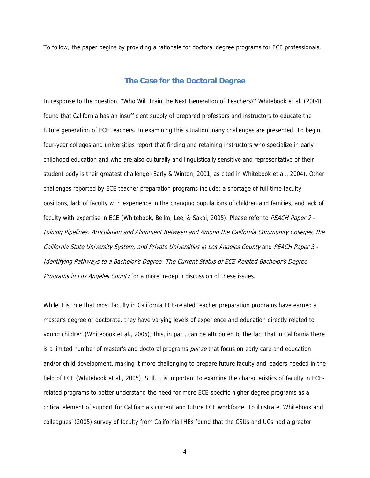To follow, the paper begins by providing a rationale for doctoral degree programs for ECE professionals.

# **The Case for the Doctoral Degree**

In response to the question, "Who Will Train the Next Generation of Teachers?" Whitebook et al. (2004) found that California has an insufficient supply of prepared professors and instructors to educate the future generation of ECE teachers. In examining this situation many challenges are presented. To begin, four-year colleges and universities report that finding and retaining instructors who specialize in early childhood education and who are also culturally and linguistically sensitive and representative of their student body is their greatest challenge (Early & Winton, 2001, as cited in Whitebook et al., 2004). Other challenges reported by ECE teacher preparation programs include: a shortage of full-time faculty positions, lack of faculty with experience in the changing populations of children and families, and lack of faculty with expertise in ECE (Whitebook, Bellm, Lee, & Sakai, 2005). Please refer to PEACH Paper 2 -Joining Pipelines: Articulation and Alignment Between and Among the California Community Colleges, the California State University System, and Private Universities in Los Angeles County and PEACH Paper 3 - Identifying Pathways to a Bachelor's Degree: The Current Status of ECE-Related Bachelor's Degree Programs in Los Angeles County for a more in-depth discussion of these issues.

While it is true that most faculty in California ECE-related teacher preparation programs have earned a master's degree or doctorate, they have varying levels of experience and education directly related to young children (Whitebook et al., 2005); this, in part, can be attributed to the fact that in California there is a limited number of master's and doctoral programs per se that focus on early care and education and/or child development, making it more challenging to prepare future faculty and leaders needed in the field of ECE (Whitebook et al., 2005). Still, it is important to examine the characteristics of faculty in ECErelated programs to better understand the need for more ECE-specific higher degree programs as a critical element of support for California's current and future ECE workforce. To illustrate, Whitebook and colleagues' (2005) survey of faculty from California IHEs found that the CSUs and UCs had a greater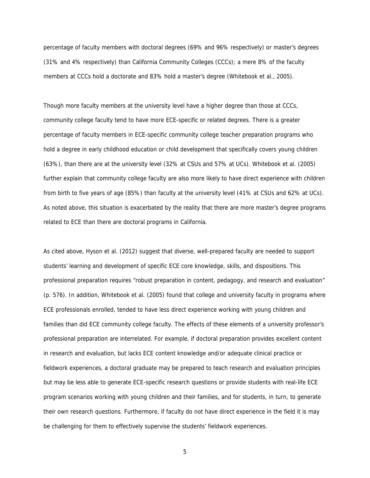percentage of faculty members with doctoral degrees (69% and 96% respectively) or master's degrees (31% and 4% respectively) than California Community Colleges (CCCs); a mere 8% of the faculty members at CCCs hold a doctorate and 83% hold a master's degree (Whitebook et al., 2005).

Though more faculty members at the university level have a higher degree than those at CCCs, community college faculty tend to have more ECE-specific or related degrees. There is a greater percentage of faculty members in ECE-specific community college teacher preparation programs who hold a degree in early childhood education or child development that specifically covers young children (63%), than there are at the university level (32% at CSUs and 57% at UCs). Whitebook et al. (2005) further explain that community college faculty are also more likely to have direct experience with children from birth to five years of age (85%) than faculty at the university level (41% at CSUs and 62% at UCs). As noted above, this situation is exacerbated by the reality that there are more master's degree programs related to ECE than there are doctoral programs in California.

As cited above, Hyson et al. (2012) suggest that diverse, well-prepared faculty are needed to support students' learning and development of specific ECE core knowledge, skills, and dispositions. This professional preparation requires "robust preparation in content, pedagogy, and research and evaluation" (p. 576). In addition, Whitebook et al. (2005) found that college and university faculty in programs where ECE professionals enrolled, tended to have less direct experience working with young children and families than did ECE community college faculty. The effects of these elements of a university professor's professional preparation are interrelated. For example, if doctoral preparation provides excellent content in research and evaluation, but lacks ECE content knowledge and/or adequate clinical practice or fieldwork experiences, a doctoral graduate may be prepared to teach research and evaluation principles but may be less able to generate ECE-specific research questions or provide students with real-life ECE program scenarios working with young children and their families, and for students, in turn, to generate their own research questions. Furthermore, if faculty do not have direct experience in the field it is may be challenging for them to effectively supervise the students' fieldwork experiences.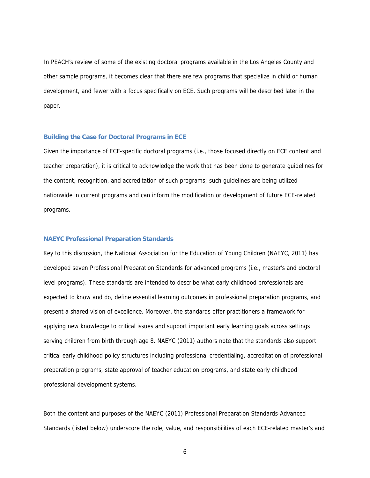In PEACH's review of some of the existing doctoral programs available in the Los Angeles County and other sample programs, it becomes clear that there are few programs that specialize in child or human development, and fewer with a focus specifically on ECE. Such programs will be described later in the paper.

#### **Building the Case for Doctoral Programs in ECE**

Given the importance of ECE-specific doctoral programs (i.e., those focused directly on ECE content and teacher preparation), it is critical to acknowledge the work that has been done to generate guidelines for the content, recognition, and accreditation of such programs; such guidelines are being utilized nationwide in current programs and can inform the modification or development of future ECE-related programs.

#### **NAEYC Professional Preparation Standards**

Key to this discussion, the National Association for the Education of Young Children (NAEYC, 2011) has developed seven Professional Preparation Standards for advanced programs (i.e., master's and doctoral level programs). These standards are intended to describe what early childhood professionals are expected to know and do, define essential learning outcomes in professional preparation programs, and present a shared vision of excellence. Moreover, the standards offer practitioners a framework for applying new knowledge to critical issues and support important early learning goals across settings serving children from birth through age 8. NAEYC (2011) authors note that the standards also support critical early childhood policy structures including professional credentialing, accreditation of professional preparation programs, state approval of teacher education programs, and state early childhood professional development systems.

Both the content and purposes of the NAEYC (2011) Professional Preparation Standards-Advanced Standards (listed below) underscore the role, value, and responsibilities of each ECE-related master's and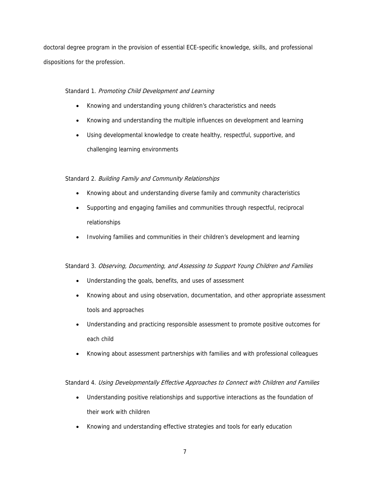doctoral degree program in the provision of essential ECE-specific knowledge, skills, and professional dispositions for the profession.

# Standard 1. Promoting Child Development and Learning

- Knowing and understanding young children's characteristics and needs
- Knowing and understanding the multiple influences on development and learning
- Using developmental knowledge to create healthy, respectful, supportive, and challenging learning environments

# Standard 2. Building Family and Community Relationships

- Knowing about and understanding diverse family and community characteristics
- Supporting and engaging families and communities through respectful, reciprocal relationships
- Involving families and communities in their children's development and learning

# Standard 3. Observing, Documenting, and Assessing to Support Young Children and Families

- Understanding the goals, benefits, and uses of assessment
- Knowing about and using observation, documentation, and other appropriate assessment tools and approaches
- Understanding and practicing responsible assessment to promote positive outcomes for each child
- Knowing about assessment partnerships with families and with professional colleagues

# Standard 4. Using Developmentally Effective Approaches to Connect with Children and Families

- Understanding positive relationships and supportive interactions as the foundation of their work with children
- Knowing and understanding effective strategies and tools for early education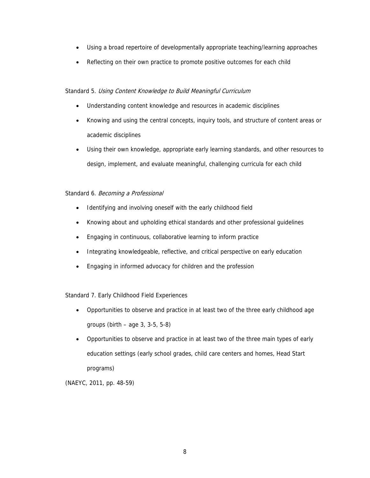- Using a broad repertoire of developmentally appropriate teaching/learning approaches
- Reflecting on their own practice to promote positive outcomes for each child

#### Standard 5. Using Content Knowledge to Build Meaningful Curriculum

- Understanding content knowledge and resources in academic disciplines
- Knowing and using the central concepts, inquiry tools, and structure of content areas or academic disciplines
- Using their own knowledge, appropriate early learning standards, and other resources to design, implement, and evaluate meaningful, challenging curricula for each child

#### Standard 6. Becoming a Professional

- Identifying and involving oneself with the early childhood field
- Knowing about and upholding ethical standards and other professional guidelines
- Engaging in continuous, collaborative learning to inform practice
- Integrating knowledgeable, reflective, and critical perspective on early education
- Engaging in informed advocacy for children and the profession

Standard 7. Early Childhood Field Experiences

- Opportunities to observe and practice in at least two of the three early childhood age groups (birth – age 3, 3-5, 5-8)
- Opportunities to observe and practice in at least two of the three main types of early education settings (early school grades, child care centers and homes, Head Start programs)

(NAEYC, 2011, pp. 48-59)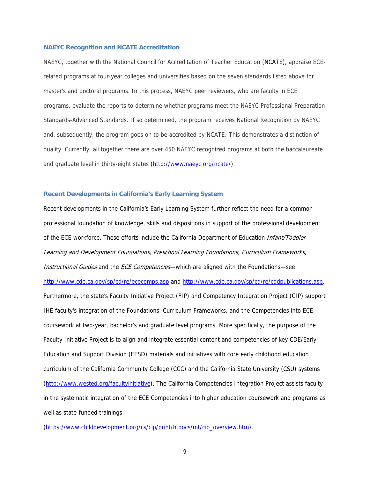#### **NAEYC Recognition and NCATE Accreditation**

NAEYC, together with the National Council for Accreditation of Teacher Education (NCATE), appraise ECErelated programs at four-year colleges and universities based on the seven standards listed above for master's and doctoral programs. In this process, NAEYC peer reviewers, who are faculty in ECE programs, evaluate the reports to determine whether programs meet the NAEYC Professional Preparation Standards-Advanced Standards. If so determined, the program receives National Recognition by NAEYC and, subsequently, the program goes on to be accredited by NCATE: This demonstrates a distinction of quality. Currently, all together there are over 450 NAEYC recognized programs at both the baccalaureate and graduate level in thirty-eight states (http://www.naeyc.org/ncate/).

#### **Recent Developments in California's Early Learning System**

Recent developments in the California's Early Learning System further reflect the need for a common professional foundation of knowledge, skills and dispositions in support of the professional development of the ECE workforce. These efforts include the California Department of Education Infant/Toddler Learning and Development Foundations, Preschool Learning Foundations, Curriculum Frameworks, Instructional Guides and the ECE Competencies—which are aligned with the Foundations—see http://www.cde.ca.gov/sp/cd/re/ececomps.asp and http://www.cde.ca.gov/sp/cd/re/cddpublications.asp. Furthermore, the state's Faculty Initiative Project (FIP) and Competency Integration Project (CIP) support IHE faculty's integration of the Foundations, Curriculum Frameworks, and the Competencies into ECE coursework at two-year, bachelor's and graduate level programs. More specifically, the purpose of the Faculty Initiative Project is to align and integrate essential content and competencies of key CDE/Early Education and Support Division (EESD) materials and initiatives with core early childhood education curriculum of the California Community College (CCC) and the California State University (CSU) systems (http://www.wested.org/facultyinitiative). The California Competencies Integration Project assists faculty in the systematic integration of the ECE Competencies into higher education coursework and programs as well as state-funded trainings

(https://www.childdevelopment.org/cs/cip/print/htdocs/mt/cip\_overview.htm).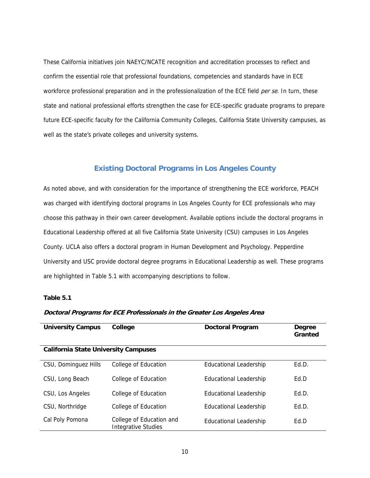These California initiatives join NAEYC/NCATE recognition and accreditation processes to reflect and confirm the essential role that professional foundations, competencies and standards have in ECE workforce professional preparation and in the professionalization of the ECE field *per se*. In turn, these state and national professional efforts strengthen the case for ECE-specific graduate programs to prepare future ECE-specific faculty for the California Community Colleges, California State University campuses, as well as the state's private colleges and university systems.

# **Existing Doctoral Programs in Los Angeles County**

As noted above, and with consideration for the importance of strengthening the ECE workforce, PEACH was charged with identifying doctoral programs in Los Angeles County for ECE professionals who may choose this pathway in their own career development. Available options include the doctoral programs in Educational Leadership offered at all five California State University (CSU) campuses in Los Angeles County. UCLA also offers a doctoral program in Human Development and Psychology. Pepperdine University and USC provide doctoral degree programs in Educational Leadership as well. These programs are highlighted in Table 5.1 with accompanying descriptions to follow.

#### **Table 5.1**

# **Doctoral Programs for ECE Professionals in the Greater Los Angeles Area**

| <b>University Campus</b>                    | College                                         | <b>Doctoral Program</b>       | Degree<br>Granted |
|---------------------------------------------|-------------------------------------------------|-------------------------------|-------------------|
| <b>California State University Campuses</b> |                                                 |                               |                   |
| CSU, Dominguez Hills                        | College of Education                            | <b>Educational Leadership</b> | Ed.D.             |
| CSU, Long Beach                             | College of Education                            | Educational Leadership        | Ed.D              |
| CSU, Los Angeles                            | College of Education                            | Educational Leadership        | Ed.D.             |
| CSU, Northridge                             | College of Education                            | Educational Leadership        | Ed.D.             |
| Cal Poly Pomona                             | College of Education and<br>Integrative Studies | Educational Leadership        | Ed.D              |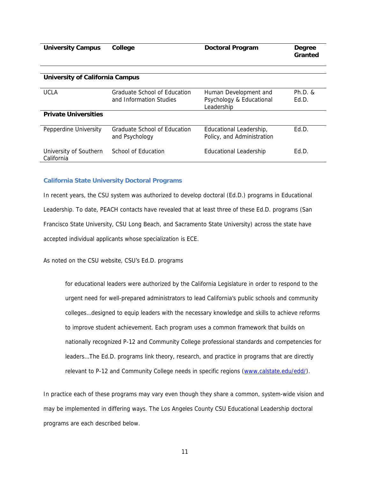| <b>University Campus</b>               | College                                        | <b>Doctoral Program</b>                               | Degree<br>Granted |
|----------------------------------------|------------------------------------------------|-------------------------------------------------------|-------------------|
|                                        |                                                |                                                       |                   |
| <b>University of California Campus</b> |                                                |                                                       |                   |
| <b>UCLA</b>                            | Graduate School of Education                   | Human Development and                                 | $Ph.D.$ &         |
|                                        | and Information Studies                        | Psychology & Educational<br>Leadership                | Ed.D.             |
| <b>Private Universities</b>            |                                                |                                                       |                   |
| Pepperdine University                  | Graduate School of Education<br>and Psychology | Educational Leadership,<br>Policy, and Administration | Ed.D.             |
| University of Southern<br>California   | School of Education                            | <b>Educational Leadership</b>                         | Ed.D.             |

#### **California State University Doctoral Programs**

In recent years, the CSU system was authorized to develop doctoral (Ed.D.) programs in Educational Leadership. To date, PEACH contacts have revealed that at least three of these Ed.D. programs (San Francisco State University, CSU Long Beach, and Sacramento State University) across the state have accepted individual applicants whose specialization is ECE.

As noted on the CSU website, CSU's Ed.D. programs

for educational leaders were authorized by the California Legislature in order to respond to the urgent need for well-prepared administrators to lead California's public schools and community colleges…designed to equip leaders with the necessary knowledge and skills to achieve reforms to improve student achievement. Each program uses a common framework that builds on nationally recognized P-12 and Community College professional standards and competencies for leaders…The Ed.D. programs link theory, research, and practice in programs that are directly relevant to P-12 and Community College needs in specific regions (www.calstate.edu/edd/).

In practice each of these programs may vary even though they share a common, system-wide vision and may be implemented in differing ways. The Los Angeles County CSU Educational Leadership doctoral programs are each described below.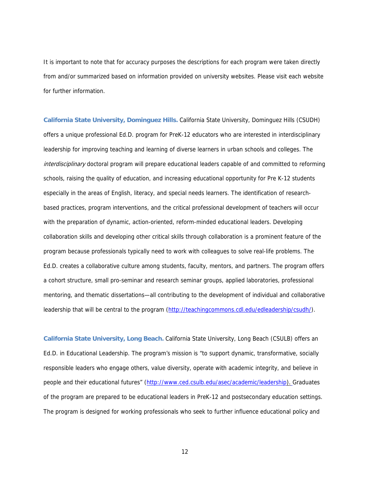It is important to note that for accuracy purposes the descriptions for each program were taken directly from and/or summarized based on information provided on university websites. Please visit each website for further information.

**California State University, Dominguez Hills.** California State University, Dominguez Hills (CSUDH) offers a unique professional Ed.D. program for PreK-12 educators who are interested in interdisciplinary leadership for improving teaching and learning of diverse learners in urban schools and colleges. The interdisciplinary doctoral program will prepare educational leaders capable of and committed to reforming schools, raising the quality of education, and increasing educational opportunity for Pre K-12 students especially in the areas of English, literacy, and special needs learners. The identification of researchbased practices, program interventions, and the critical professional development of teachers will occur with the preparation of dynamic, action-oriented, reform-minded educational leaders. Developing collaboration skills and developing other critical skills through collaboration is a prominent feature of the program because professionals typically need to work with colleagues to solve real-life problems. The Ed.D. creates a collaborative culture among students, faculty, mentors, and partners. The program offers a cohort structure, small pro-seminar and research seminar groups, applied laboratories, professional mentoring, and thematic dissertations—all contributing to the development of individual and collaborative leadership that will be central to the program (http://teachingcommons.cdl.edu/edleadership/csudh/).

**California State University, Long Beach.** California State University, Long Beach (CSULB) offers an Ed.D. in Educational Leadership. The program's mission is "to support dynamic, transformative, socially responsible leaders who engage others, value diversity, operate with academic integrity, and believe in people and their educational futures" (http://www.ced.csulb.edu/asec/academic/leadership). Graduates of the program are prepared to be educational leaders in PreK-12 and postsecondary education settings. The program is designed for working professionals who seek to further influence educational policy and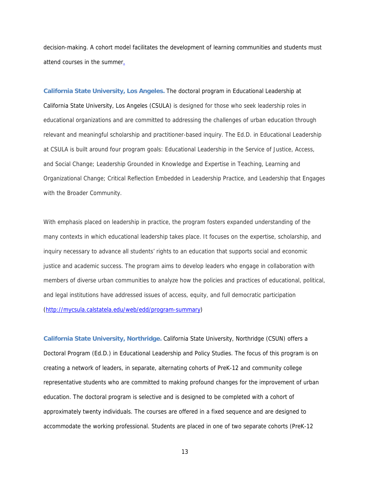decision-making. A cohort model facilitates the development of learning communities and students must attend courses in the summer.

**California State University, Los Angeles.** The doctoral program in Educational Leadership at California State University, Los Angeles (CSULA) is designed for those who seek leadership roles in educational organizations and are committed to addressing the challenges of urban education through relevant and meaningful scholarship and practitioner-based inquiry. The Ed.D. in Educational Leadership at CSULA is built around four program goals: Educational Leadership in the Service of Justice, Access, and Social Change; Leadership Grounded in Knowledge and Expertise in Teaching, Learning and Organizational Change; Critical Reflection Embedded in Leadership Practice, and Leadership that Engages with the Broader Community.

With emphasis placed on leadership in practice, the program fosters expanded understanding of the many contexts in which educational leadership takes place. It focuses on the expertise, scholarship, and inquiry necessary to advance all students' rights to an education that supports social and economic justice and academic success. The program aims to develop leaders who engage in collaboration with members of diverse urban communities to analyze how the policies and practices of educational, political, and legal institutions have addressed issues of access, equity, and full democratic participation (http://mycsula.calstatela.edu/web/edd/program-summary)

**California State University, Northridge.** California State University, Northridge (CSUN) offers a Doctoral Program (Ed.D.) in Educational Leadership and Policy Studies. The focus of this program is on creating a network of leaders, in separate, alternating cohorts of PreK-12 and community college representative students who are committed to making profound changes for the improvement of urban education. The doctoral program is selective and is designed to be completed with a cohort of approximately twenty individuals. The courses are offered in a fixed sequence and are designed to accommodate the working professional. Students are placed in one of two separate cohorts (PreK-12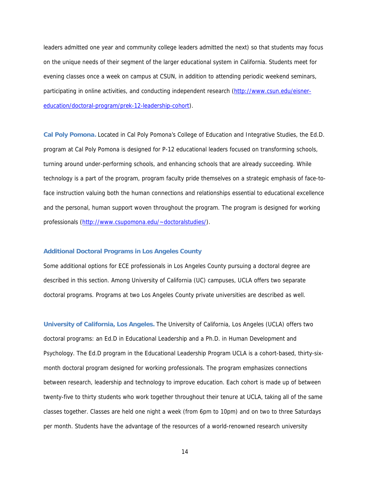leaders admitted one year and community college leaders admitted the next) so that students may focus on the unique needs of their segment of the larger educational system in California. Students meet for evening classes once a week on campus at CSUN, in addition to attending periodic weekend seminars, participating in online activities, and conducting independent research (http://www.csun.edu/eisnereducation/doctoral-program/prek-12-leadership-cohort).

**Cal Poly Pomona.** Located in Cal Poly Pomona's College of Education and Integrative Studies, the Ed.D. program at Cal Poly Pomona is designed for P-12 educational leaders focused on transforming schools, turning around under-performing schools, and enhancing schools that are already succeeding. While technology is a part of the program, program faculty pride themselves on a strategic emphasis of face-toface instruction valuing both the human connections and relationships essential to educational excellence and the personal, human support woven throughout the program. The program is designed for working professionals (http://www.csupomona.edu/~doctoralstudies/).

#### **Additional Doctoral Programs in Los Angeles County**

Some additional options for ECE professionals in Los Angeles County pursuing a doctoral degree are described in this section. Among University of California (UC) campuses, UCLA offers two separate doctoral programs. Programs at two Los Angeles County private universities are described as well.

**University of California, Los Angeles.** The University of California, Los Angeles (UCLA) offers two doctoral programs: an Ed.D in Educational Leadership and a Ph.D. in Human Development and Psychology. The Ed.D program in the Educational Leadership Program UCLA is a cohort-based, thirty-sixmonth doctoral program designed for working professionals. The program emphasizes connections between research, leadership and technology to improve education. Each cohort is made up of between twenty-five to thirty students who work together throughout their tenure at UCLA, taking all of the same classes together. Classes are held one night a week (from 6pm to 10pm) and on two to three Saturdays per month. Students have the advantage of the resources of a world-renowned research university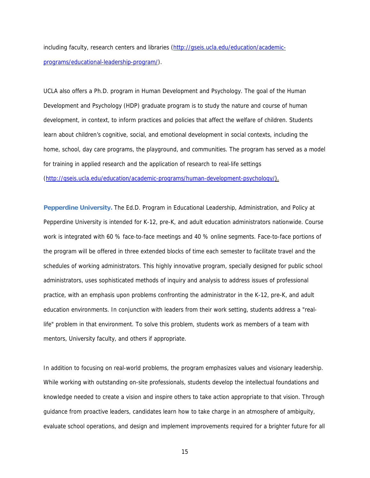including faculty, research centers and libraries (http://gseis.ucla.edu/education/academicprograms/educational-leadership-program/).

UCLA also offers a Ph.D. program in Human Development and Psychology. The goal of the Human Development and Psychology (HDP) graduate program is to study the nature and course of human development, in context, to inform practices and policies that affect the welfare of children. Students learn about children's cognitive, social, and emotional development in social contexts, including the home, school, day care programs, the playground, and communities. The program has served as a model for training in applied research and the application of research to real-life settings (http://gseis.ucla.edu/education/academic-programs/human-development-psychology/).

**Pepperdine University.** The Ed.D. Program in Educational Leadership, Administration, and Policy at Pepperdine University is intended for K-12, pre-K, and adult education administrators nationwide. Course work is integrated with 60 % face-to-face meetings and 40 % online segments. Face-to-face portions of the program will be offered in three extended blocks of time each semester to facilitate travel and the schedules of working administrators. This highly innovative program, specially designed for public school administrators, uses sophisticated methods of inquiry and analysis to address issues of professional practice, with an emphasis upon problems confronting the administrator in the K-12, pre-K, and adult education environments. In conjunction with leaders from their work setting, students address a "reallife" problem in that environment. To solve this problem, students work as members of a team with mentors, University faculty, and others if appropriate.

In addition to focusing on real-world problems, the program emphasizes values and visionary leadership. While working with outstanding on-site professionals, students develop the intellectual foundations and knowledge needed to create a vision and inspire others to take action appropriate to that vision. Through guidance from proactive leaders, candidates learn how to take charge in an atmosphere of ambiguity, evaluate school operations, and design and implement improvements required for a brighter future for all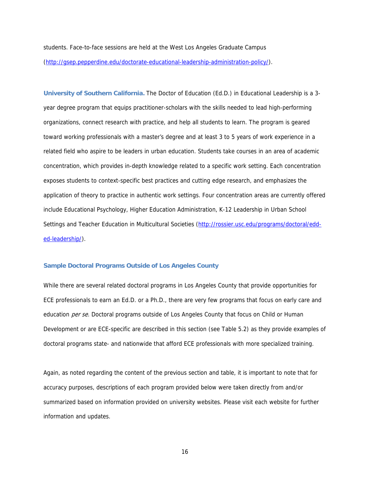students. Face-to-face sessions are held at the West Los Angeles Graduate Campus (http://gsep.pepperdine.edu/doctorate-educational-leadership-administration-policy/).

**University of Southern California.** The Doctor of Education (Ed.D.) in Educational Leadership is a 3 year degree program that equips practitioner-scholars with the skills needed to lead high-performing organizations, connect research with practice, and help all students to learn. The program is geared toward working professionals with a master's degree and at least 3 to 5 years of work experience in a related field who aspire to be leaders in urban education. Students take courses in an area of academic concentration, which provides in-depth knowledge related to a specific work setting. Each concentration exposes students to context-specific best practices and cutting edge research, and emphasizes the application of theory to practice in authentic work settings. Four concentration areas are currently offered include Educational Psychology, Higher Education Administration, K-12 Leadership in Urban School Settings and Teacher Education in Multicultural Societies (http://rossier.usc.edu/programs/doctoral/edded-leadership/).

#### **Sample Doctoral Programs Outside of Los Angeles County**

While there are several related doctoral programs in Los Angeles County that provide opportunities for ECE professionals to earn an Ed.D. or a Ph.D., there are very few programs that focus on early care and education per se. Doctoral programs outside of Los Angeles County that focus on Child or Human Development or are ECE-specific are described in this section (see Table 5.2) as they provide examples of doctoral programs state- and nationwide that afford ECE professionals with more specialized training.

Again, as noted regarding the content of the previous section and table, it is important to note that for accuracy purposes, descriptions of each program provided below were taken directly from and/or summarized based on information provided on university websites. Please visit each website for further information and updates.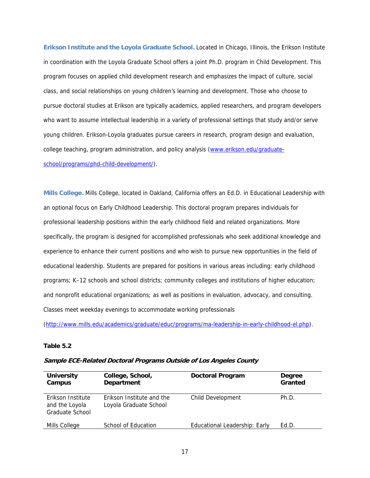**Erikson Institute and the Loyola Graduate School.** Located in Chicago, Illinois, the Erikson Institute in coordination with the Loyola Graduate School offers a joint Ph.D. program in Child Development. This program focuses on applied child development research and emphasizes the impact of culture, social class, and social relationships on young children's learning and development. Those who choose to pursue doctoral studies at Erikson are typically academics, applied researchers, and program developers who want to assume intellectual leadership in a variety of professional settings that study and/or serve young children. Erikson-Loyola graduates pursue careers in research, program design and evaluation, college teaching, program administration, and policy analysis (www.erikson.edu/graduateschool/programs/phd-child-development/).

**Mills College.** Mills College, located in Oakland, California offers an Ed.D. in Educational Leadership with an optional focus on Early Childhood Leadership. This doctoral program prepares individuals for professional leadership positions within the early childhood field and related organizations. More specifically, the program is designed for accomplished professionals who seek additional knowledge and experience to enhance their current positions and who wish to pursue new opportunities in the field of educational leadership. Students are prepared for positions in various areas including: early childhood programs; K–12 schools and school districts; community colleges and institutions of higher education; and nonprofit educational organizations; as well as positions in evaluation, advocacy, and consulting. Classes meet weekday evenings to accommodate working professionals

(http://www.mills.edu/academics/graduate/educ/programs/ma-leadership-in-early-childhood-el.php).

#### **Table 5.2**

| <b>University</b><br>Campus                            | College, School,<br><b>Department</b>               | <b>Doctoral Program</b>       | Degree<br>Granted |
|--------------------------------------------------------|-----------------------------------------------------|-------------------------------|-------------------|
| Erikson Institute<br>and the Loyola<br>Graduate School | Erikson Institute and the<br>Loyola Graduate School | Child Development             | Ph.D.             |
| Mills College                                          | School of Education                                 | Educational Leadership: Early | Ed.D.             |

#### **Sample ECE-Related Doctoral Programs Outside of Los Angeles County**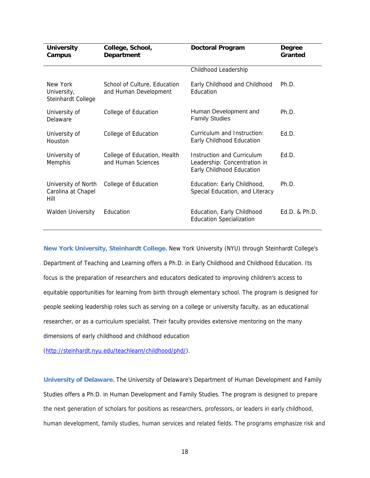| <b>University</b><br>Campus                       | College, School,<br><b>Department</b>                 | <b>Doctoral Program</b>                                                                 | <b>Degree</b><br>Granted |
|---------------------------------------------------|-------------------------------------------------------|-----------------------------------------------------------------------------------------|--------------------------|
|                                                   |                                                       | Childhood Leadership                                                                    |                          |
| New York<br>University,<br>Steinhardt College     | School of Culture, Education<br>and Human Development | Early Childhood and Childhood<br>Education                                              | Ph.D.                    |
| University of<br>Delaware                         | College of Education                                  | Human Development and<br><b>Family Studies</b>                                          | Ph.D.                    |
| University of<br><b>Houston</b>                   | College of Education                                  | Curriculum and Instruction:<br>Early Childhood Education                                | Ed.D.                    |
| University of<br>Memphis                          | College of Education, Health<br>and Human Sciences    | Instruction and Curriculum<br>Leadership: Concentration in<br>Early Childhood Education | Ed.D.                    |
| University of North<br>Carolina at Chapel<br>Hill | College of Education                                  | Education: Early Childhood,<br>Special Education, and Literacy                          | Ph.D.                    |
| <b>Walden University</b>                          | Education                                             | Education, Early Childhood<br><b>Education Specialization</b>                           | $Ed.D.$ & $Ph.D.$        |

**New York University, Steinhardt College.** New York University (NYU) through Steinhardt College's Department of Teaching and Learning offers a Ph.D. in Early Childhood and Childhood Education. Its focus is the preparation of researchers and educators dedicated to improving children's access to equitable opportunities for learning from birth through elementary school. The program is designed for people seeking leadership roles such as serving on a college or university faculty, as an educational researcher, or as a curriculum specialist. Their faculty provides extensive mentoring on the many dimensions of early childhood and childhood education

(http://steinhardt.nyu.edu/teachlearn/childhood/phd/).

**University of Delaware.** The University of Delaware's Department of Human Development and Family Studies offers a Ph.D. in Human Development and Family Studies. The program is designed to prepare the next generation of scholars for positions as researchers, professors, or leaders in early childhood, human development, family studies, human services and related fields. The programs emphasize risk and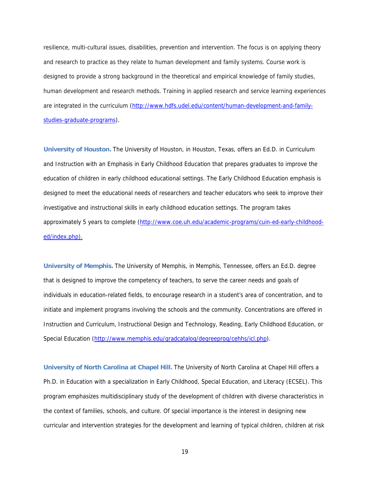resilience, multi-cultural issues, disabilities, prevention and intervention. The focus is on applying theory and research to practice as they relate to human development and family systems. Course work is designed to provide a strong background in the theoretical and empirical knowledge of family studies, human development and research methods. Training in applied research and service learning experiences are integrated in the curriculum (http://www.hdfs.udel.edu/content/human-development-and-familystudies-graduate-programs).

**University of Houston.** The University of Houston, in Houston, Texas, offers an Ed.D. in Curriculum and Instruction with an Emphasis in Early Childhood Education that prepares graduates to improve the education of children in early childhood educational settings. The Early Childhood Education emphasis is designed to meet the educational needs of researchers and teacher educators who seek to improve their investigative and instructional skills in early childhood education settings. The program takes approximately 5 years to complete (http://www.coe.uh.edu/academic-programs/cuin-ed-early-childhooded/index.php).

**University of Memphis.** The University of Memphis, in Memphis, Tennessee, offers an Ed.D. degree that is designed to improve the competency of teachers, to serve the career needs and goals of individuals in education-related fields, to encourage research in a student's area of concentration, and to initiate and implement programs involving the schools and the community. Concentrations are offered in Instruction and Curriculum, Instructional Design and Technology, Reading, Early Childhood Education, or Special Education (http://www.memphis.edu/gradcatalog/degreeprog/cehhs/icl.php).

**University of North Carolina at Chapel Hill.** The University of North Carolina at Chapel Hill offers a Ph.D. in Education with a specialization in Early Childhood, Special Education, and Literacy (ECSEL). This program emphasizes multidisciplinary study of the development of children with diverse characteristics in the context of families, schools, and culture. Of special importance is the interest in designing new curricular and intervention strategies for the development and learning of typical children, children at risk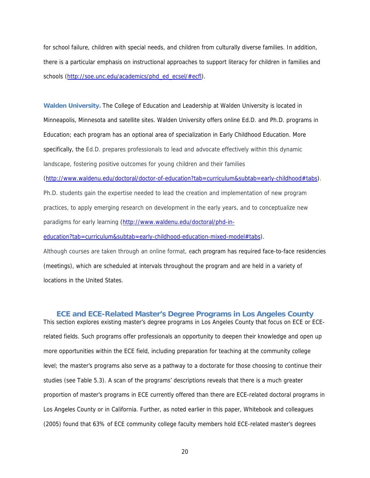for school failure, children with special needs, and children from culturally diverse families. In addition, there is a particular emphasis on instructional approaches to support literacy for children in families and schools (http://soe.unc.edu/academics/phd\_ed\_ecsel/#ecfl).

**Walden University.** The College of Education and Leadership at Walden University is located in Minneapolis, Minnesota and satellite sites. Walden University offers online Ed.D. and Ph.D. programs in Education; each program has an optional area of specialization in Early Childhood Education. More specifically, the Ed.D. prepares professionals to lead and advocate effectively within this dynamic landscape, fostering positive outcomes for young children and their families

(http://www.waldenu.edu/doctoral/doctor-of-education?tab=curriculum&subtab=early-childhood#tabs).

Ph.D. students gain the expertise needed to lead the creation and implementation of new program practices, to apply emerging research on development in the early years, and to conceptualize new paradigms for early learning (http://www.waldenu.edu/doctoral/phd-in-

education?tab=curriculum&subtab=early-childhood-education-mixed-model#tabs).

Although courses are taken through an online format, each program has required face-to-face residencies (meetings), which are scheduled at intervals throughout the program and are held in a variety of locations in the United States.

#### **ECE and ECE-Related Master's Degree Programs in Los Angeles County**

This section explores existing master's degree programs in Los Angeles County that focus on ECE or ECErelated fields. Such programs offer professionals an opportunity to deepen their knowledge and open up more opportunities within the ECE field, including preparation for teaching at the community college level; the master's programs also serve as a pathway to a doctorate for those choosing to continue their studies (see Table 5.3). A scan of the programs' descriptions reveals that there is a much greater proportion of master's programs in ECE currently offered than there are ECE-related doctoral programs in Los Angeles County or in California. Further, as noted earlier in this paper, Whitebook and colleagues (2005) found that 63% of ECE community college faculty members hold ECE-related master's degrees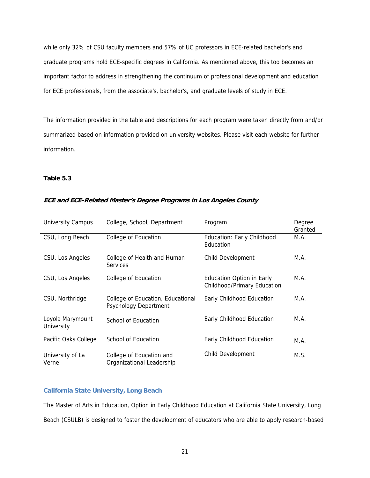while only 32% of CSU faculty members and 57% of UC professors in ECE-related bachelor's and graduate programs hold ECE-specific degrees in California. As mentioned above, this too becomes an important factor to address in strengthening the continuum of professional development and education for ECE professionals, from the associate's, bachelor's, and graduate levels of study in ECE.

The information provided in the table and descriptions for each program were taken directly from and/or summarized based on information provided on university websites. Please visit each website for further information.

#### **Table 5.3**

| <b>University Campus</b>       | College, School, Department                                       | Program                                                         | Degree<br>Granted |
|--------------------------------|-------------------------------------------------------------------|-----------------------------------------------------------------|-------------------|
| CSU, Long Beach                | College of Education                                              | Education: Early Childhood<br>Education                         | M.A.              |
| CSU, Los Angeles               | College of Health and Human<br><b>Services</b>                    | Child Development                                               | M.A.              |
| CSU, Los Angeles               | College of Education                                              | <b>Education Option in Early</b><br>Childhood/Primary Education | M.A.              |
| CSU, Northridge                | College of Education, Educational<br><b>Psychology Department</b> | Early Childhood Education                                       | M.A.              |
| Loyola Marymount<br>University | School of Education                                               | Early Childhood Education                                       | M.A.              |
| Pacific Oaks College           | School of Education                                               | Early Childhood Education                                       | M.A.              |
| University of La<br>Verne      | College of Education and<br>Organizational Leadership             | <b>Child Development</b>                                        | M.S.              |

## **ECE and ECE-Related Master's Degree Programs in Los Angeles County**

## **California State University, Long Beach**

The Master of Arts in Education, Option in Early Childhood Education at California State University, Long Beach (CSULB) is designed to foster the development of educators who are able to apply research-based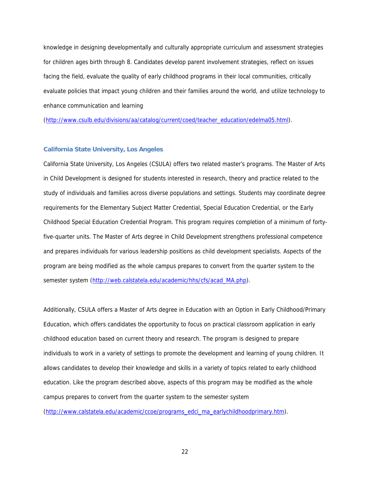knowledge in designing developmentally and culturally appropriate curriculum and assessment strategies for children ages birth through 8. Candidates develop parent involvement strategies, reflect on issues facing the field, evaluate the quality of early childhood programs in their local communities, critically evaluate policies that impact young children and their families around the world, and utilize technology to enhance communication and learning

(http://www.csulb.edu/divisions/aa/catalog/current/coed/teacher\_education/edelma05.html).

#### **California State University, Los Angeles**

California State University, Los Angeles (CSULA) offers two related master's programs. The Master of Arts in Child Development is designed for students interested in research, theory and practice related to the study of individuals and families across diverse populations and settings. Students may coordinate degree requirements for the Elementary Subject Matter Credential, Special Education Credential, or the Early Childhood Special Education Credential Program. This program requires completion of a minimum of fortyfive-quarter units. The Master of Arts degree in Child Development strengthens professional competence and prepares individuals for various leadership positions as child development specialists. Aspects of the program are being modified as the whole campus prepares to convert from the quarter system to the semester system (http://web.calstatela.edu/academic/hhs/cfs/acad\_MA.php).

Additionally, CSULA offers a Master of Arts degree in Education with an Option in Early Childhood/Primary Education, which offers candidates the opportunity to focus on practical classroom application in early childhood education based on current theory and research. The program is designed to prepare individuals to work in a variety of settings to promote the development and learning of young children. It allows candidates to develop their knowledge and skills in a variety of topics related to early childhood education. Like the program described above, aspects of this program may be modified as the whole campus prepares to convert from the quarter system to the semester system

(http://www.calstatela.edu/academic/ccoe/programs\_edci\_ma\_earlychildhoodprimary.htm).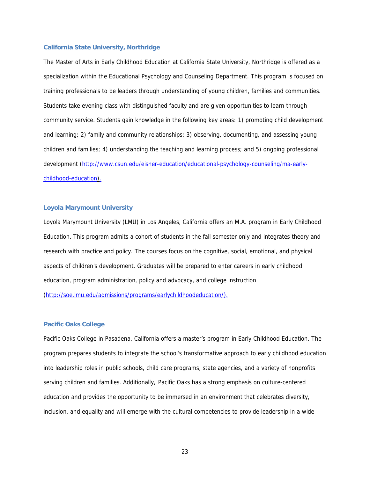#### **California State University, Northridge**

The Master of Arts in Early Childhood Education at California State University, Northridge is offered as a specialization within the Educational Psychology and Counseling Department. This program is focused on training professionals to be leaders through understanding of young children, families and communities. Students take evening class with distinguished faculty and are given opportunities to learn through community service. Students gain knowledge in the following key areas: 1) promoting child development and learning; 2) family and community relationships; 3) observing, documenting, and assessing young children and families; 4) understanding the teaching and learning process; and 5) ongoing professional development (http://www.csun.edu/eisner-education/educational-psychology-counseling/ma-earlychildhood-education).

#### **Loyola Marymount University**

Loyola Marymount University (LMU) in Los Angeles, California offers an M.A. program in Early Childhood Education. This program admits a cohort of students in the fall semester only and integrates theory and research with practice and policy. The courses focus on the cognitive, social, emotional, and physical aspects of children's development. Graduates will be prepared to enter careers in early childhood education, program administration, policy and advocacy, and college instruction

(http://soe.lmu.edu/admissions/programs/earlychildhoodeducation/).

#### **Pacific Oaks College**

Pacific Oaks College in Pasadena, California offers a master's program in Early Childhood Education. The program prepares students to integrate the school's transformative approach to early childhood education into leadership roles in public schools, child care programs, state agencies, and a variety of nonprofits serving children and families. Additionally, Pacific Oaks has a strong emphasis on culture-centered education and provides the opportunity to be immersed in an environment that celebrates diversity, inclusion, and equality and will emerge with the cultural competencies to provide leadership in a wide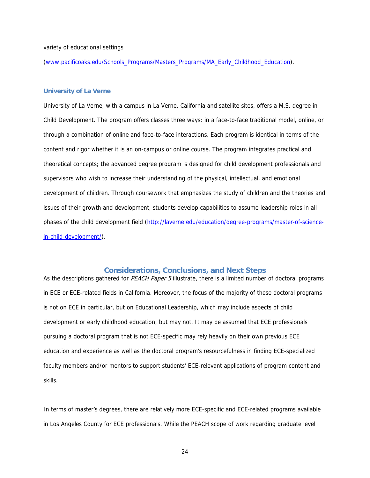#### variety of educational settings

(www.pacificoaks.edu/Schools\_Programs/Masters\_Programs/MA\_Early\_Childhood\_Education).

#### **University of La Verne**

University of La Verne, with a campus in La Verne, California and satellite sites, offers a M.S. degree in Child Development. The program offers classes three ways: in a face-to-face traditional model, online, or through a combination of online and face-to-face interactions. Each program is identical in terms of the content and rigor whether it is an on-campus or online course. The program integrates practical and theoretical concepts; the advanced degree program is designed for child development professionals and supervisors who wish to increase their understanding of the physical, intellectual, and emotional development of children. Through coursework that emphasizes the study of children and the theories and issues of their growth and development, students develop capabilities to assume leadership roles in all phases of the child development field (http://laverne.edu/education/degree-programs/master-of-sciencein-child-development/).

#### **Considerations, Conclusions, and Next Steps**

As the descriptions gathered for PEACH Paper 5 illustrate, there is a limited number of doctoral programs in ECE or ECE-related fields in California. Moreover, the focus of the majority of these doctoral programs is not on ECE in particular, but on Educational Leadership, which may include aspects of child development or early childhood education, but may not. It may be assumed that ECE professionals pursuing a doctoral program that is not ECE-specific may rely heavily on their own previous ECE education and experience as well as the doctoral program's resourcefulness in finding ECE-specialized faculty members and/or mentors to support students' ECE-relevant applications of program content and skills.

In terms of master's degrees, there are relatively more ECE-specific and ECE-related programs available in Los Angeles County for ECE professionals. While the PEACH scope of work regarding graduate level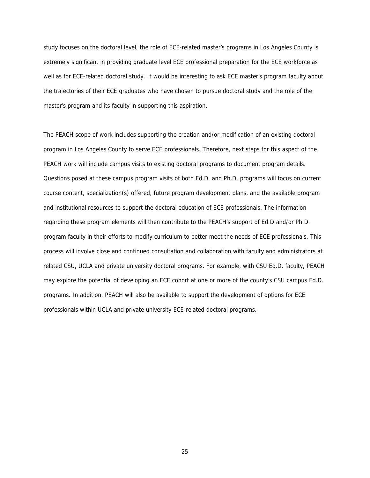study focuses on the doctoral level, the role of ECE-related master's programs in Los Angeles County is extremely significant in providing graduate level ECE professional preparation for the ECE workforce as well as for ECE-related doctoral study. It would be interesting to ask ECE master's program faculty about the trajectories of their ECE graduates who have chosen to pursue doctoral study and the role of the master's program and its faculty in supporting this aspiration.

The PEACH scope of work includes supporting the creation and/or modification of an existing doctoral program in Los Angeles County to serve ECE professionals. Therefore, next steps for this aspect of the PEACH work will include campus visits to existing doctoral programs to document program details. Questions posed at these campus program visits of both Ed.D. and Ph.D. programs will focus on current course content, specialization(s) offered, future program development plans, and the available program and institutional resources to support the doctoral education of ECE professionals. The information regarding these program elements will then contribute to the PEACH's support of Ed.D and/or Ph.D. program faculty in their efforts to modify curriculum to better meet the needs of ECE professionals. This process will involve close and continued consultation and collaboration with faculty and administrators at related CSU, UCLA and private university doctoral programs. For example, with CSU Ed.D. faculty, PEACH may explore the potential of developing an ECE cohort at one or more of the county's CSU campus Ed.D. programs. In addition, PEACH will also be available to support the development of options for ECE professionals within UCLA and private university ECE-related doctoral programs.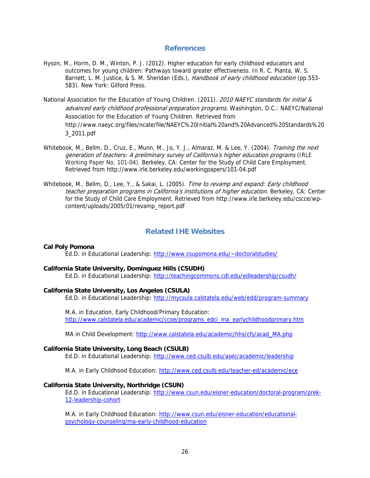# **References**

- Hyson, M., Horm, D. M., Winton, P. J. (2012). Higher education for early childhood educators and outcomes for young children: Pathways toward greater effectiveness. In R. C. Pianta, W. S. Barnett, L. M. Justice, & S. M. Sheridan (Eds.), Handbook of early childhood education (pp.553-583). New York: Gilford Press.
- National Association for the Education of Young Children. (2011). 2010 NAEYC standards for initial & advanced early childhood professional preparation programs. Washington, D.C.: NAEYC/National Association for the Education of Young Children. Retrieved from http://www.naeyc.org/files/ncate/file/NAEYC%20Initial%20and%20Advanced%20Standards%20 3\_2011.pdf
- Whitebook, M., Bellm, D., Cruz, E., Munn, M., Jo, Y. J., Almaraz, M. & Lee, Y. (2004). Training the next generation of teachers: A preliminary survey of California's higher education programs (IRLE Working Paper No. 101-04). Berkeley, CA: Center for the Study of Child Care Employment. Retrieved from http://www.irle.berkeley.edu/workingpapers/101-04.pdf
- Whitebook, M., Bellm, D., Lee, Y., & Sakai, L. (2005). Time to revamp and expand: Early childhood teacher preparation programs in California's institutions of higher education. Berkeley, CA: Center for the Study of Child Care Employment. Retrieved from http://www.irle.berkeley.edu/cscce/wpcontent/uploads/2005/01/revamp\_report.pdf

# **Related IHE Websites**

#### **Cal Poly Pomona**

Ed.D. in Educational Leadership: http://www.csupomona.edu/~doctoralstudies/

#### **California State University, Dominguez Hills (CSUDH)**

Ed.D. in Educational Leadership: http://teachingcommons.cdl.edu/edleadership/csudh/

#### **California State University, Los Angeles (CSULA)**

Ed.D. in Educational Leadership: http://mycsula.calstatela.edu/web/edd/program-summary

M.A. in Education, Early Childhood/Primary Education: http://www.calstatela.edu/academic/ccoe/programs\_edci\_ma\_earlychildhoodprimary.htm

MA in Child Development: http://www.calstatela.edu/academic/hhs/cfs/acad\_MA.php

#### **California State University, Long Beach (CSULB)**

Ed.D. in Educational Leadership: http://www.ced.csulb.edu/asec/academic/leadership

M.A. in Early Childhood Education: http://www.ced.csulb.edu/teacher-ed/academic/ece

#### **California State University, Northridge (CSUN)**

Ed.D. in Educational Leadership: http://www.csun.edu/eisner-education/doctoral-program/prek-12-leadership-cohort

M.A. in Early Childhood Education: http://www.csun.edu/eisner-education/educationalpsychology-counseling/ma-early-childhood-education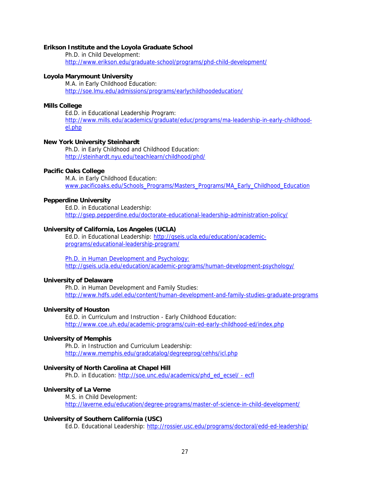#### **Erikson Institute and the Loyola Graduate School**

Ph.D. in Child Development: http://www.erikson.edu/graduate-school/programs/phd-child-development/

#### **Loyola Marymount University**

M.A. in Early Childhood Education: http://soe.lmu.edu/admissions/programs/earlychildhoodeducation/

# **Mills College**

Ed.D. in Educational Leadership Program: http://www.mills.edu/academics/graduate/educ/programs/ma-leadership-in-early-childhoodel.php

#### **New York University Steinhardt**

Ph.D. in Early Childhood and Childhood Education: http://steinhardt.nyu.edu/teachlearn/childhood/phd/

#### **Pacific Oaks College**

M.A. in Early Childhood Education: www.pacificoaks.edu/Schools\_Programs/Masters\_Programs/MA\_Early\_Childhood\_Education

#### **Pepperdine University**

Ed.D. in Educational Leadership: http://gsep.pepperdine.edu/doctorate-educational-leadership-administration-policy/

#### **University of California, Los Angeles (UCLA)**

Ed.D. in Educational Leadership: http://gseis.ucla.edu/education/academicprograms/educational-leadership-program/

Ph.D. in Human Development and Psychology: http://gseis.ucla.edu/education/academic-programs/human-development-psychology/

#### **University of Delaware**

Ph.D. in Human Development and Family Studies: http://www.hdfs.udel.edu/content/human-development-and-family-studies-graduate-programs

#### **University of Houston**

Ed.D. in Curriculum and Instruction - Early Childhood Education: http://www.coe.uh.edu/academic-programs/cuin-ed-early-childhood-ed/index.php

#### **University of Memphis**

Ph.D. in Instruction and Curriculum Leadership: http://www.memphis.edu/gradcatalog/degreeprog/cehhs/icl.php

#### **University of North Carolina at Chapel Hill**

Ph.D. in Education: http://soe.unc.edu/academics/phd\_ed\_ecsel/ - ecfl

#### **University of La Verne**

M.S. in Child Development: http://laverne.edu/education/degree-programs/master-of-science-in-child-development/

#### **University of Southern California (USC)**

Ed.D. Educational Leadership: http://rossier.usc.edu/programs/doctoral/edd-ed-leadership/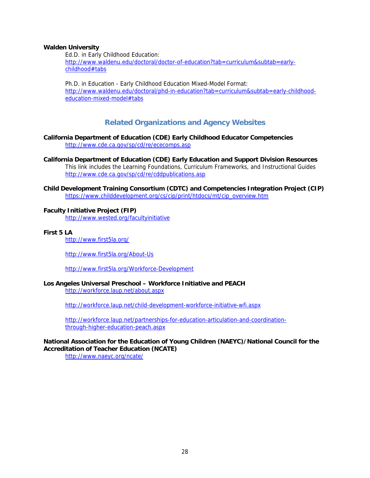#### **Walden University**

Ed.D. in Early Childhood Education: http://www.waldenu.edu/doctoral/doctor-of-education?tab=curriculum&subtab=earlychildhood#tabs

Ph.D. in Education - Early Childhood Education Mixed-Model Format: http://www.waldenu.edu/doctoral/phd-in-education?tab=curriculum&subtab=early-childhood education-mixed-model#tabs

# **Related Organizations and Agency Websites**

**California Department of Education (CDE) Early Childhood Educator Competencies**  http://www.cde.ca.gov/sp/cd/re/ececomps.asp

**California Department of Education (CDE) Early Education and Support Division Resources**  This link includes the Learning Foundations, Curriculum Frameworks, and Instructional Guides http://www.cde.ca.gov/sp/cd/re/cddpublications.asp

**Child Development Training Consortium (CDTC) and Competencies Integration Project (CIP)** https://www.childdevelopment.org/cs/cip/print/htdocs/mt/cip\_overview.htm

#### **Faculty Initiative Project (FIP)**

http://www.wested.org/facultyinitiative

## **First 5 LA**

http://www.first5la.org/

http://www.first5la.org/About-Us

http://www.first5la.org/Workforce-Development

# **Los Angeles Universal Preschool – Workforce Initiative and PEACH**

http://workforce.laup.net/about.aspx

http://workforce.laup.net/child-development-workforce-initiative-wfi.aspx

http://workforce.laup.net/partnerships-for-education-articulation-and-coordination through-higher-education-peach.aspx

# **National Association for the Education of Young Children (NAEYC)/National Council for the Accreditation of Teacher Education (NCATE)**

http://www.naeyc.org/ncate/